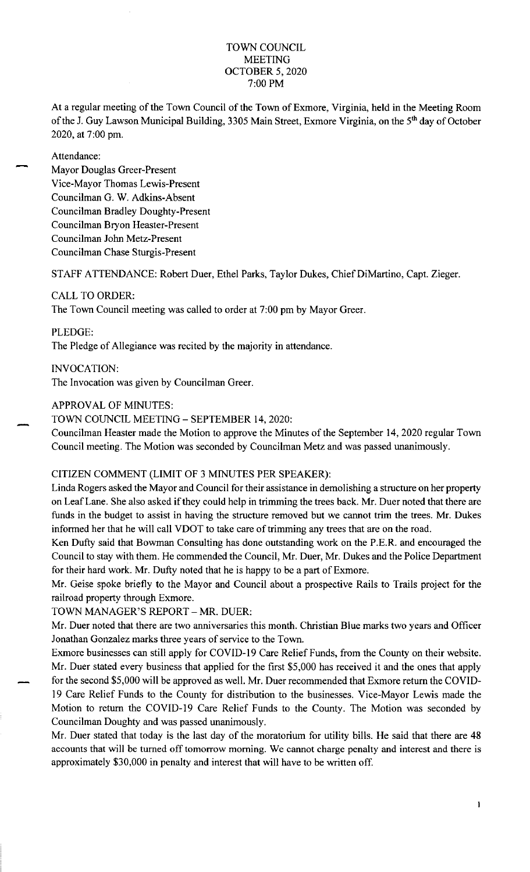## TOWN COUNCIL MEETING OCTOBER 5, 2020 7:00 PM

At a regular meeting of the Town Council of the Town of Exmore, Virginia, held in the Meeting Room of the J. Guy Lawson Municipal Building, 3305 Main Street, Exmore Virginia, on the 5<sup>th</sup> day of October 2020, at 7:00 pm.

#### Attendance:

Mayor Douglas Greer-Present Vice-Mayor Thomas Lewis-Present Councilman G. W. Adkins-Absent Councilman Bradley Doughty-Present Councilman Bryon Heaster-Present Councilman John Metz-Present Councilman Chase Sturgis-Present

STAFF ATTENDANCE: Robert Duer, Ethel Parks, Taylor Dukes, Chief DiMartino, Capt. Zieger.

### CALL TO ORDER:

The Town Council meeting was called to order at 7:00 pm by Mayor Greer.

PLEDGE:

The Pledge of Allegiance was recited by the majority in attendance.

INVOCATION:

The Invocation was given by Councilman Greer.

## APPROV AL OF MINUTES:

TOWN COUNCIL MEETING - SEPTEMBER 14, 2020:

Councilman Heaster made the Motion to approve the Minutes of the September 14, 2020 regular Town Council meeting. The Motion was seconded by Councilman Metz and was passed unanimously.

# CITIZEN COMMENT (LIMIT OF 3 MINUTES PER SPEAKER):

Linda Rogers asked the Mayor and Council for their assistance in demolishing a structure on her property on Leaf Lane. She also asked if they could help in trimming the trees back. Mr. Duer noted that there are funds in the budget to assist in having the structure removed but we cannot trim the trees. Mr. Dukes informed her that he will call VDOT to take care of trimming any trees that are on the road.

Ken Dufty said that Bowman Consulting has done outstanding work on the P.E.R. and encouraged the Council to stay with them. He commended the Council, Mr. Duer, Mr. Dukes and the Police Department for their hard work. Mr. Dufty noted that he is happy to be a part of Exmore.

Mr. Geise spoke briefly to the Mayor and Council about a prospective Rails to Trails project for the railroad property through Exmore.

TOWN MANAGER'S REPORT - MR. DUER:

Mr. Duer noted that there are two anniversaries this month. Christian Blue marks two years and Officer Jonathan Gonzalez marks three years of service to the Town.

Exmore businesses can still apply for COVID-19 Care Relief Funds, from the County on their website. Mr. Duer stated every business that applied for the first \$5,000 has received it and the ones that apply for the second \$5,000 will be approved as well. Mr. Duer recommended that Exmore return the COVID-19 Care Relief Funds to the County for distribution to the businesses. Vice-Mayor Lewis made the Motion to return the COVID-19 Care Relief Funds to the County. The Motion was seconded by Councilman Doughty and was passed unanimously.

Mr. Duer stated that today is the last day of the moratorium for utility bills. He said that there are 48 accounts that will be turned off tomorrow morning. We cannot charge penalty and interest and there is approximately \$30,000 in penalty and interest that will have to be written off.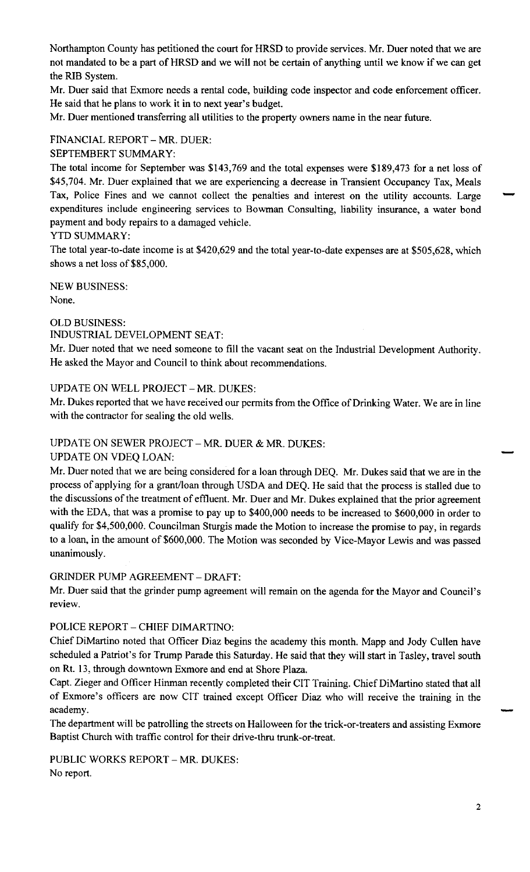Northampton County has petitioned the court for HRSD to provide services. Mr. Duer noted that we are not mandated to be a part of HRSD and we will not be certain of anything until we know if we can get the RIB System.

Mr. Duer said that Exmore needs a rental code, building code inspector and code enforcement officer. He said that he plans to work it in to next year's budget.

Mr. Duer mentioned transferring all utilities to the property owners name in the near future.

## FINANCIAL REPORT - MR. DUER:

SEPTEMBERT SUMMARY:

The total income for September was \$143,769 and the total expenses were \$189,473 for a net loss of \$45,704. Mr. Duer explained that we are experiencing a decrease in Transient Occupancy Tax, Meals Tax, Police Fines and we cannot collect the penalties and interest on the utility accounts. Large expenditures include engineering services to Bowman Consulting, liability insurance, a water bond payment and body repairs to a damaged vehicle.

### YTD SUMMARY:

The total year-to-date income is at \$420,629 and the total year-to-date expenses are at \$505,628, which shows a net loss of \$85,000.

NEW BUSINESS: None.

### OLD BUSINESS:

### INDUSTRIAL DEVELOPMENT SEAT:

Mr. Duer noted that we need someone to fill the vacant seat on the Industrial Development Authority. He asked the Mayor and Council to think about recommendations.

### UPDATE ON WELL PROJECT - MR. DUKES:

Mr. Dukes reported that we have received our permits from the Office of Drinking Water. We are in line with the contractor for sealing the old wells.

### UPDATE ON SEWER PROJECT - MR. DUER & MR. DUKES:

#### UPDATE ON VDEQ LOAN:

Mr. Duer noted that we are being considered for a loan through DEQ. Mr. Dukes said that we are in the process of applying for a grant/loan through USDA and DEQ. He said that the process is stalled due to the discussions of the treatment of effluent. Mr. Duer and Mr. Dukes explained that the prior agreement with the EDA, that was a promise to pay up to \$400,000 needs to be increased to \$600,000 in order to qualify for \$4,500,000. Councilman Sturgis made the Motion to increase the promise to pay, in regards to a loan, in the amount of \$600,000. The Motion was seconded by Vice-Mayor Lewis and was passed unanimously.

#### GRINDER PUMP AGREEMENT - DRAFT:

Mr. Duer said that the grinder pump agreement will remain on the agenda for the Mayor and Council's review,

### POLICE REPORT - CHIEF DIMARTINO:

Chief DiMartino noted that Officer Diaz begins the academy this month. Mapp and Jody Cullen have scheduled a Patriot's for Trump Parade this Saturday. He said that they will start in Tasley, travel south on Rt. 13, through downtown Exmore and end at Shore Plaza.

Capt. Zieger and Officer Hinman recently completed their CIT Training. Chief DiMartino stated that all of Exmore's officers are now CIT trained except Officer Diaz who will receive the training in the Capt. Zieger and Officer Finnman recently completed their C11 Fraining. Chief DiMartino stated that all<br>of Exmore's officers are now CIT trained except Officer Diaz who will receive the training in the<br>academy.

The department will be patrolling the streets on Halloween for the trick-or-treaters and assisting Exmore Baptist Church with traffic control for their drive-thru trunk-or-treat.

PUBLIC WORKS REPORT - MR. DUKES: No report.